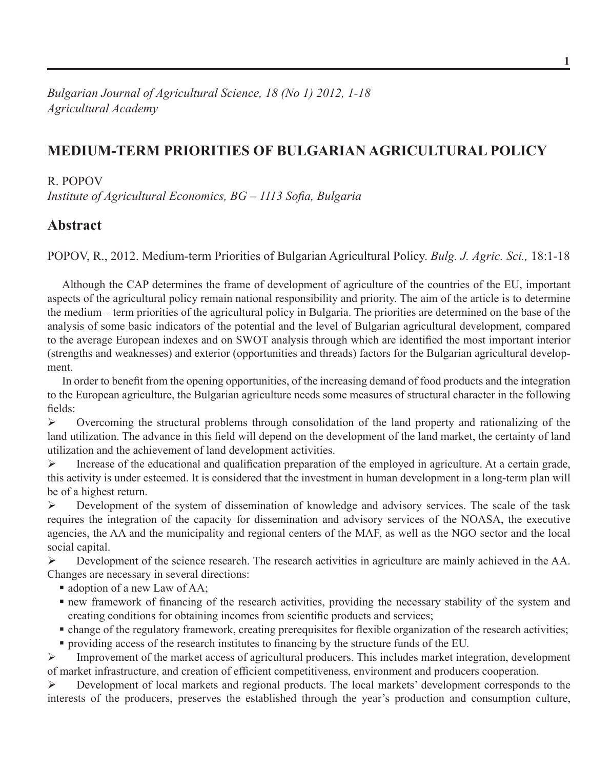# **Medium-term Priorities of Bulgarian Agricultural Policy**

#### R. Popov

*Institute of Agricultural Economics, BG – 1113 Sofia, Bulgaria*

#### **Abstract**

Popov, R., 2012. Medium-term Priorities of Bulgarian Agricultural Policy. *Bulg. J. Agric. Sci.,* 18:1-18

Although the CAP determines the frame of development of agriculture of the countries of the EU, important aspects of the agricultural policy remain national responsibility and priority. The aim of the article is to determine the medium – term priorities of the agricultural policy in Bulgaria. The priorities are determined on the base of the analysis of some basic indicators of the potential and the level of Bulgarian agricultural development, compared to the average European indexes and on SWOT analysis through which are identified the most important interior (strengths and weaknesses) and exterior (opportunities and threads) factors for the Bulgarian agricultural development.

In order to benefit from the opening opportunities, of the increasing demand of food products and the integration to the European agriculture, the Bulgarian agriculture needs some measures of structural character in the following fields:

 $\triangleright$  Overcoming the structural problems through consolidation of the land property and rationalizing of the land utilization. The advance in this field will depend on the development of the land market, the certainty of land utilization and the achievement of land development activities.

 $\triangleright$  Increase of the educational and qualification preparation of the employed in agriculture. At a certain grade, this activity is under esteemed. It is considered that the investment in human development in a long-term plan will be of a highest return.

 $\triangleright$  Development of the system of dissemination of knowledge and advisory services. The scale of the task requires the integration of the capacity for dissemination and advisory services of the NOASA, the executive agencies, the AA and the municipality and regional centers of the MAF, as well as the NGO sector and the local social capital.

 $\triangleright$  Development of the science research. The research activities in agriculture are mainly achieved in the AA. Changes are necessary in several directions:

- adoption of a new Law of AA;
- new framework of financing of the research activities, providing the necessary stability of the system and creating conditions for obtaining incomes from scientific products and services;
- change of the regulatory framework, creating prerequisites for flexible organization of the research activities;
- providing access of the research institutes to financing by the structure funds of the EU*.*

 $\triangleright$  Improvement of the market access of agricultural producers. This includes market integration, development of market infrastructure, and creation of efficient competitiveness, environment and producers cooperation.

 Development of local markets and regional products. The local markets' development corresponds to the interests of the producers, preserves the established through the year's production and consumption culture,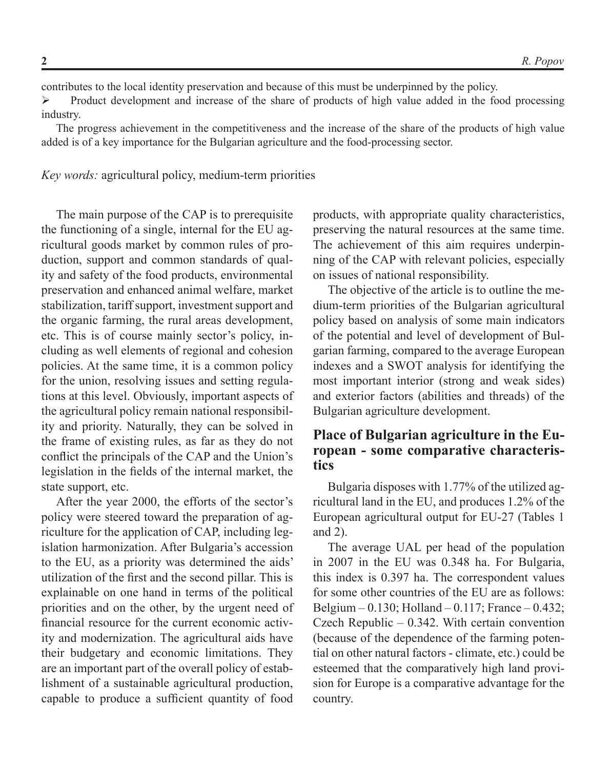contributes to the local identity preservation and because of this must be underpinned by the policy.

 Product development and increase of the share of products of high value added in the food processing industry.

The progress achievement in the competitiveness and the increase of the share of the products of high value added is of a key importance for the Bulgarian agriculture and the food-processing sector.

*Key words:* agricultural policy, medium-term priorities

The main purpose of the CAP is to prerequisite the functioning of a single, internal for the EU agricultural goods market by common rules of production, support and common standards of quality and safety of the food products, environmental preservation and enhanced animal welfare, market stabilization, tariff support, investment support and the organic farming, the rural areas development, etc. This is of course mainly sector's policy, including as well elements of regional and cohesion policies. At the same time, it is a common policy for the union, resolving issues and setting regulations at this level. Obviously, important aspects of the agricultural policy remain national responsibility and priority. Naturally, they can be solved in the frame of existing rules, as far as they do not conflict the principals of the CAP and the Union's legislation in the fields of the internal market, the state support, etc.

After the year 2000, the efforts of the sector's policy were steered toward the preparation of agriculture for the application of CAP, including legislation harmonization. After Bulgaria's accession to the EU, as a priority was determined the aids' utilization of the first and the second pillar. This is explainable on one hand in terms of the political priorities and on the other, by the urgent need of financial resource for the current economic activity and modernization. The agricultural aids have their budgetary and economic limitations. They are an important part of the overall policy of establishment of a sustainable agricultural production, capable to produce a sufficient quantity of food

products, with appropriate quality characteristics, preserving the natural resources at the same time. The achievement of this aim requires underpinning of the CAP with relevant policies, especially on issues of national responsibility.

The objective of the article is to outline the medium-term priorities of the Bulgarian agricultural policy based on analysis of some main indicators of the potential and level of development of Bulgarian farming, compared to the average European indexes and a SWOT analysis for identifying the most important interior (strong and weak sides) and exterior factors (abilities and threads) of the Bulgarian agriculture development.

## **Place of Bulgarian agriculture in the European - some comparative characteristics**

Bulgaria disposes with 1.77% of the utilized agricultural land in the EU, and produces 1.2% of the European agricultural output for EU-27 (Tables 1 and 2).

The average UAL per head of the population in 2007 in the EU was 0.348 ha. For Bulgaria, this index is 0.397 ha. The correspondent values for some other countries of the EU are as follows: Belgium – 0.130; Holland – 0.117; France – 0.432; Czech Republic – 0.342. With certain convention (because of the dependence of the farming potential on other natural factors - climate, etc.) could be esteemed that the comparatively high land provision for Europe is a comparative advantage for the country.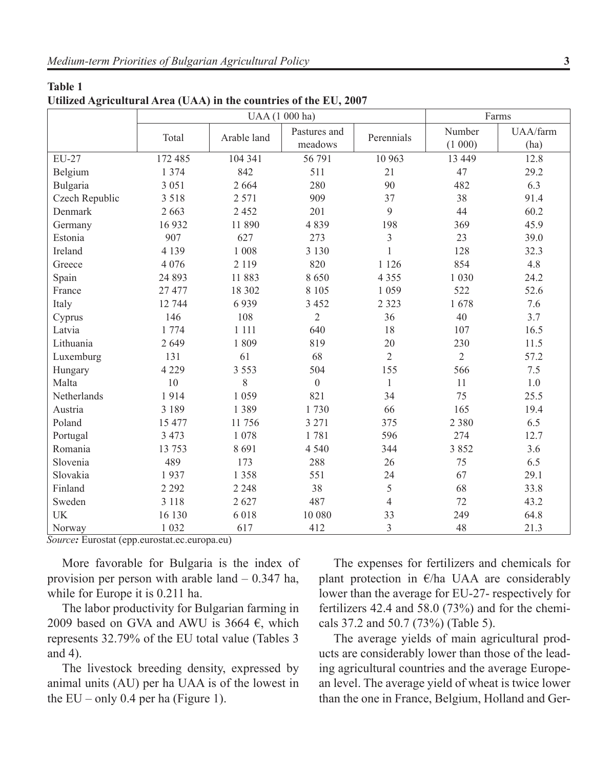| <b>Table 1</b>                                                    |  |  |
|-------------------------------------------------------------------|--|--|
| Utilized Agricultural Area (UAA) in the countries of the EU, 2007 |  |  |

| o              |         | UAA (1 000 ha) |                         | Farms          |                  |                  |
|----------------|---------|----------------|-------------------------|----------------|------------------|------------------|
|                | Total   | Arable land    | Pastures and<br>meadows | Perennials     | Number<br>(1000) | UAA/farm<br>(ha) |
| <b>EU-27</b>   | 172 485 | 104 341        | 56 791                  | 10 963         | 13 449           | 12.8             |
| Belgium        | 1 374   | 842            | 511                     | 21             | 47               | 29.2             |
| Bulgaria       | 3 0 5 1 | 2 6 6 4        | 280                     | 90             | 482              | 6.3              |
| Czech Republic | 3 5 1 8 | 2 5 7 1        | 909                     | 37             | 38               | 91.4             |
| Denmark        | 2 6 6 3 | 2 4 5 2        | 201                     | 9              | 44               | 60.2             |
| Germany        | 16932   | 11 890         | 4839                    | 198            | 369              | 45.9             |
| Estonia        | 907     | 627            | 273                     | 3              | 23               | 39.0             |
| Ireland        | 4 1 3 9 | 1 0 0 8        | 3 1 3 0                 | $\mathbf{1}$   | 128              | 32.3             |
| Greece         | 4 0 7 6 | 2 1 1 9        | 820                     | 1 1 2 6        | 854              | 4.8              |
| Spain          | 24 893  | 11883          | 8650                    | 4 3 5 5        | 1 0 3 0          | 24.2             |
| France         | 27 477  | 18 302         | 8 1 0 5                 | 1 0 5 9        | 522              | 52.6             |
| Italy          | 12 744  | 6939           | 3 4 5 2                 | 2 3 2 3        | 1678             | 7.6              |
| Cyprus         | 146     | 108            | $\overline{2}$          | 36             | 40               | 3.7              |
| Latvia         | 1 774   | 1 1 1 1        | 640                     | 18             | 107              | 16.5             |
| Lithuania      | 2649    | 1809           | 819                     | 20             | 230              | 11.5             |
| Luxemburg      | 131     | 61             | 68                      | $\overline{2}$ | $\overline{2}$   | 57.2             |
| Hungary        | 4 2 2 9 | 3 5 5 3        | 504                     | 155            | 566              | 7.5              |
| Malta          | 10      | 8              | $\boldsymbol{0}$        | $\mathbf{1}$   | 11               | $1.0$            |
| Netherlands    | 1914    | 1 0 5 9        | 821                     | 34             | 75               | 25.5             |
| Austria        | 3 1 8 9 | 1 3 8 9        | 1730                    | 66             | 165              | 19.4             |
| Poland         | 15 477  | 11 756         | 3 2 7 1                 | 375            | 2 3 8 0          | 6.5              |
| Portugal       | 3 4 7 3 | 1 0 7 8        | 1781                    | 596            | 274              | 12.7             |
| Romania        | 13 753  | 8691           | 4 5 4 0                 | 344            | 3852             | 3.6              |
| Slovenia       | 489     | 173            | 288                     | 26             | 75               | 6.5              |
| Slovakia       | 1937    | 1 3 5 8        | 551                     | 24             | 67               | 29.1             |
| Finland        | 2 2 9 2 | 2 2 4 8        | 38                      | 5              | 68               | 33.8             |
| Sweden         | 3 1 1 8 | 2627           | 487                     | $\overline{4}$ | 72               | 43.2             |
| <b>UK</b>      | 16 130  | 6018           | 10 080                  | 33             | 249              | 64.8             |
| Norway         | 1 0 3 2 | 617            | 412                     | 3              | 48               | 21.3             |

*Source:* Eurostat (epp.eurostat.ec.europa.eu)

More favorable for Bulgaria is the index of provision per person with arable land – 0.347 ha, while for Europe it is 0.211 ha.

The labor productivity for Bulgarian farming in 2009 based on GVA and AWU is 3664  $\epsilon$ , which represents 32.79% of the EU total value (Tables 3 and 4).

The livestock breeding density, expressed by animal units (AU) per ha UAA is of the lowest in the  $EU$  – only 0.4 per ha (Figure 1).

The expenses for fertilizers and chemicals for plant protection in  $\epsilon$ /ha UAA are considerably lower than the average for EU-27- respectively for fertilizers 42.4 and 58.0 (73%) and for the chemicals 37.2 and 50.7 (73%) (Table 5).

The average yields of main agricultural products are considerably lower than those of the leading agricultural countries and the average European level. The average yield of wheat is twice lower than the one in France, Belgium, Holland and Ger-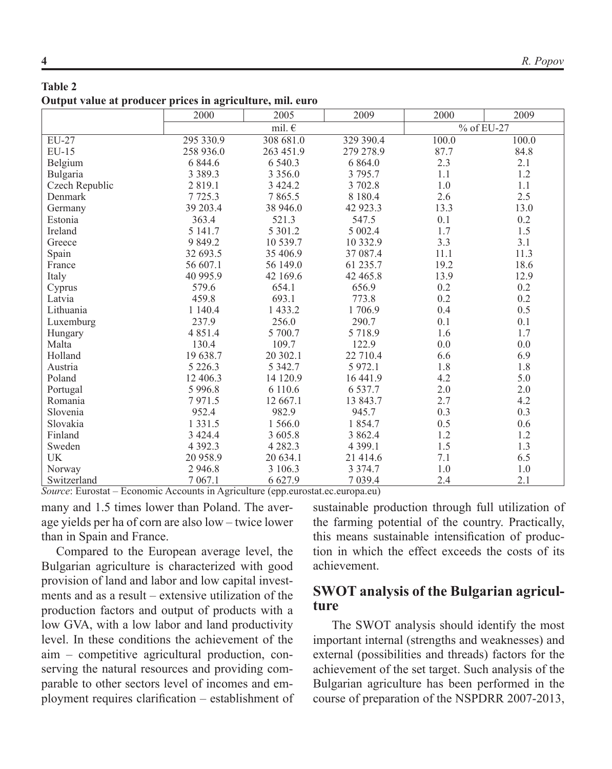#### **Table 2 Output value at producer prices in agriculture, mil. euro**

|                | 2000<br>2005 |                 | 2009        | 2000       | 2009  |
|----------------|--------------|-----------------|-------------|------------|-------|
|                |              | mil. $\epsilon$ |             | % of EU-27 |       |
| EU-27          | 295 330.9    | 308 681.0       | 329 390.4   | 100.0      | 100.0 |
| $EU-15$        | 258 936.0    | 263 451.9       | 279 278.9   | 87.7       | 84.8  |
| Belgium        | 6 844.6      | 6 540.3         | 6 8 6 4.0   | 2.3        | 2.1   |
| Bulgaria       | 3 3 8 9 . 3  | 3 3 5 6 .0      | 3 795.7     | 1.1        | 1.2   |
| Czech Republic | 2 8 1 9 .1   | 3 4 2 4 .2      | 3 702.8     | 1.0        | 1.1   |
| Denmark        | 7725.3       | 7865.5          | 8 1 8 0 . 4 | 2.6        | 2.5   |
| Germany        | 39 203.4     | 38 946.0        | 42 923.3    | 13.3       | 13.0  |
| Estonia        | 363.4        | 521.3           | 547.5       | 0.1        | 0.2   |
| Ireland        | 5 141.7      | 5 301.2         | 5 002.4     | 1.7        | 1.5   |
| Greece         | 9 8 4 9 .2   | 10 539.7        | 10 332.9    | 3.3        | 3.1   |
| Spain          | 32 693.5     | 35 406.9        | 37 087.4    | 11.1       | 11.3  |
| France         | 56 607.1     | 56 149.0        | 61 235.7    | 19.2       | 18.6  |
| Italy          | 40 995.9     | 42 169.6        | 42 465.8    | 13.9       | 12.9  |
| Cyprus         | 579.6        | 654.1           | 656.9       | 0.2        | 0.2   |
| Latvia         | 459.8        | 693.1           | 773.8       | 0.2        | 0.2   |
| Lithuania      | 1 140.4      | 1 433.2         | 1706.9      | 0.4        | 0.5   |
| Luxemburg      | 237.9        | 256.0           | 290.7       | 0.1        | 0.1   |
| Hungary        | 4 8 5 1 .4   | 5 700.7         | 5 7 18.9    | 1.6        | 1.7   |
| Malta          | 130.4        | 109.7           | 122.9       | 0.0        | 0.0   |
| Holland        | 19 638.7     | 20 302.1        | 22 710.4    | 6.6        | 6.9   |
| Austria        | 5 2 2 6 .3   | 5 3 4 2.7       | 5 9 7 2.1   | 1.8        | 1.8   |
| Poland         | 12 406.3     | 14 120.9        | 16 441.9    | 4.2        | 5.0   |
| Portugal       | 5 9 9 6.8    | 6 110.6         | 6 5 3 7 . 7 | 2.0        | 2.0   |
| Romania        | 7971.5       | 12 667.1        | 13 843.7    | 2.7        | 4.2   |
| Slovenia       | 952.4        | 982.9           | 945.7       | 0.3        | 0.3   |
| Slovakia       | 1 3 3 1 .5   | 1 566.0         | 1854.7      | 0.5        | 0.6   |
| Finland        | 3 4 2 4 .4   | 3 605.8         | 3 862.4     | 1.2        | 1.2   |
| Sweden         | 4 3 9 2 . 3  | 4 2 8 2 . 3     | 4 3 9 9.1   | 1.5        | 1.3   |
| UK             | 20 958.9     | 20 634.1        | 21 414.6    | 7.1        | 6.5   |
| Norway         | 2 9 4 6.8    | 3 106.3         | 3 3 7 4 . 7 | 1.0        | 1.0   |
| Switzerland    | 7 0 6 7 .1   | 6 6 27.9        | 7 0 3 9.4   | 2.4        | 2.1   |

*Source*: Eurostat – Economic Accounts in Agriculture (epp.eurostat.ec.europa.eu)

many and 1.5 times lower than Poland. The average yields per ha of corn are also low – twice lower than in Spain and France.

Compared to the European average level, the Bulgarian agriculture is characterized with good provision of land and labor and low capital investments and as a result – extensive utilization of the production factors and output of products with a low GVA, with a low labor and land productivity level. In these conditions the achievement of the aim – competitive agricultural production, conserving the natural resources and providing comparable to other sectors level of incomes and employment requires clarification – establishment of sustainable production through full utilization of the farming potential of the country. Practically, this means sustainable intensification of production in which the effect exceeds the costs of its achievement.

## **SWOT analysis of the Bulgarian agriculture**

 The SWOT analysis should identify the most important internal (strengths and weaknesses) and external (possibilities and threads) factors for the achievement of the set target. Such analysis of the Bulgarian agriculture has been performed in the course of preparation of the NSPDRR 2007-2013,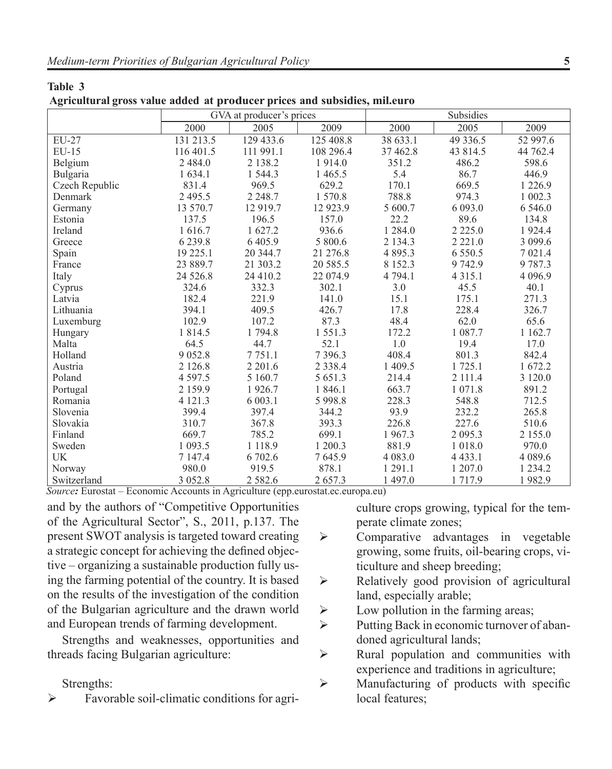**Table 3**

| Agricultural gross value added at producer prices and subsidies, mil.euro |                          |             |             |             |             |             |  |  |
|---------------------------------------------------------------------------|--------------------------|-------------|-------------|-------------|-------------|-------------|--|--|
|                                                                           | GVA at producer's prices |             |             | Subsidies   |             |             |  |  |
|                                                                           | 2000                     | 2005        | 2009        | 2000        | 2005        | 2009        |  |  |
| $EU-27$                                                                   | 131 213.5                | 129 433.6   | 125 408.8   | 38 633.1    | 49 336.5    | 52 997.6    |  |  |
| $EU-15$                                                                   | 116 401.5                | 111 991.1   | 108 296.4   | 37 462.8    | 43 814.5    | 44 762.4    |  |  |
| Belgium                                                                   | 2 4 8 4 .0               | 2 138.2     | 1914.0      | 351.2       | 486.2       | 598.6       |  |  |
| Bulgaria                                                                  | 1 634.1                  | 1 544.3     | 1 4 6 5 . 5 | 5.4         | 86.7        | 446.9       |  |  |
| Czech Republic                                                            | 831.4                    | 969.5       | 629.2       | 170.1       | 669.5       | 1 2 2 6 .9  |  |  |
| Denmark                                                                   | 2 4 9 5 . 5              | 2 2 4 8 .7  | 1 570.8     | 788.8       | 974.3       | 1 002.3     |  |  |
| Germany                                                                   | 13 570.7                 | 12 9 19.7   | 12 923.9    | 5 600.7     | 6 0 9 3 .0  | 6 5 4 6 .0  |  |  |
| Estonia                                                                   | 137.5                    | 196.5       | 157.0       | 22.2        | 89.6        | 134.8       |  |  |
| Ireland                                                                   | 1 616.7                  | 1 627.2     | 936.6       | 1 2 8 4 .0  | 2 2 2 5 .0  | 1924.4      |  |  |
| Greece                                                                    | 6 2 3 9 . 8              | 6 4 0 5 .9  | 5 800.6     | 2 1 3 4 . 3 | 2 2 2 1 .0  | 3 0 9 9.6   |  |  |
| Spain                                                                     | 19 225.1                 | 20 344.7    | 21 276.8    | 4 8 9 5 . 3 | 6 5 5 0 .5  | 7 0 2 1 .4  |  |  |
| France                                                                    | 23 889.7                 | 21 303.2    | 20 585.5    | 8 1 5 2 . 3 | 9742.9      | 9787.3      |  |  |
| Italy                                                                     | 24 5 26.8                | 24 410.2    | 22 074.9    | 4 794.1     | 4 3 1 5 .1  | 4 0 9 6.9   |  |  |
| Cyprus                                                                    | 324.6                    | 332.3       | 302.1       | 3.0         | 45.5        | 40.1        |  |  |
| Latvia                                                                    | 182.4                    | 221.9       | 141.0       | 15.1        | 175.1       | 271.3       |  |  |
| Lithuania                                                                 | 394.1                    | 409.5       | 426.7       | 17.8        | 228.4       | 326.7       |  |  |
| Luxemburg                                                                 | 102.9                    | 107.2       | 87.3        | 48.4        | 62.0        | 65.6        |  |  |
| Hungary                                                                   | 1 8 1 4 .5               | 1794.8      | 1551.3      | 172.2       | 1 087.7     | 1 1 6 2 . 7 |  |  |
| Malta                                                                     | 64.5                     | 44.7        | 52.1        | 1.0         | 19.4        | 17.0        |  |  |
| Holland                                                                   | 9 0 5 2.8                | 7 7 5 1 .1  | 7 3 9 6.3   | 408.4       | 801.3       | 842.4       |  |  |
| Austria                                                                   | 2 1 2 6.8                | 2 2 0 1.6   | 2 3 3 8 . 4 | 1 409.5     | 1 725.1     | 1 672.2     |  |  |
| Poland                                                                    | 4 5 9 7 . 5              | 5 160.7     | 5 651.3     | 214.4       | 2 111.4     | 3 1 2 0 .0  |  |  |
| Portugal                                                                  | 2 159.9                  | 1926.7      | 1 846.1     | 663.7       | 1 0 7 1 .8  | 891.2       |  |  |
| Romania                                                                   | 4 121.3                  | 6 003.1     | 5 9 9 8.8   | 228.3       | 548.8       | 712.5       |  |  |
| Slovenia                                                                  | 399.4                    | 397.4       | 344.2       | 93.9        | 232.2       | 265.8       |  |  |
| Slovakia                                                                  | 310.7                    | 367.8       | 393.3       | 226.8       | 227.6       | 510.6       |  |  |
| Finland                                                                   | 669.7                    | 785.2       | 699.1       | 1967.3      | 2 0 9 5 . 3 | 2 155.0     |  |  |
| Sweden                                                                    | 1 0 9 3 .5               | 1 1 1 8 .9  | 1 200.3     | 881.9       | 1 0 1 8 .0  | 970.0       |  |  |
| UK                                                                        | 7 147.4                  | 6 702.6     | 7645.9      | 4 0 8 3 .0  | 4 4 3 3 . 1 | 4 0 8 9 . 6 |  |  |
| Norway                                                                    | 980.0                    | 919.5       | 878.1       | 1 291.1     | 1 207.0     | 1 2 3 4 .2  |  |  |
| Switzerland                                                               | 3 0 5 2.8                | 2 5 8 2 . 6 | 2 657.3     | 1 497.0     | 1717.9      | 1982.9      |  |  |

|  | Agricultural gross value added at producer prices and subsidies, mil.euro |  |
|--|---------------------------------------------------------------------------|--|
|  |                                                                           |  |

*Source:* Eurostat – Economic Accounts in Agriculture (epp.eurostat.ec.europa.eu)

and by the authors of "Competitive Opportunities of the Agricultural Sector", S., 2011, p.137. The present SWOT analysis is targeted toward creating a strategic concept for achieving the defined objective – organizing a sustainable production fully using the farming potential of the country. It is based on the results of the investigation of the condition of the Bulgarian agriculture and the drawn world and European trends of farming development.

Strengths and weaknesses, opportunities and threads facing Bulgarian agriculture:

Strengths:

 Favorable soil-climatic conditions for agri-

culture crops growing, typical for the temperate climate zones;

- $\triangleright$  Comparative advantages in vegetable growing, some fruits, oil-bearing crops, viticulture and sheep breeding;
- $\triangleright$  Relatively good provision of agricultural land, especially arable;
- $\triangleright$  Low pollution in the farming areas;
- $\triangleright$  Putting Back in economic turnover of abandoned agricultural lands;
- $\triangleright$  Rural population and communities with experience and traditions in agriculture;
- $\triangleright$  Manufacturing of products with specific local features;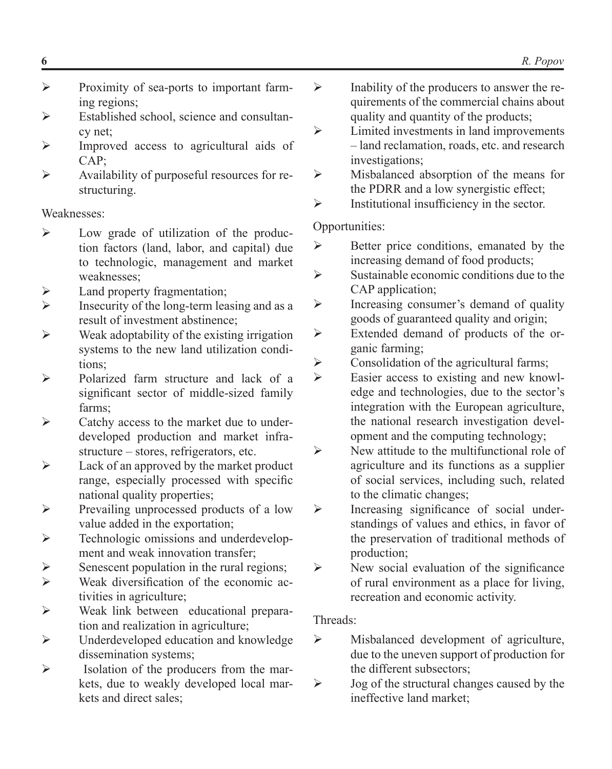- $\triangleright$  Proximity of sea-ports to important farming regions;
- $\triangleright$  Established school, science and consultancy net:
- $\triangleright$  Improved access to agricultural aids of CAP;
- Availability of purposeful resources for restructuring.

### Weaknesses:

- $\triangleright$  Low grade of utilization of the production factors (land, labor, and capital) due to technologic, management and market weaknesses;
- $\triangleright$  Land property fragmentation;
- $\triangleright$  Insecurity of the long-term leasing and as a result of investment abstinence;
- $\triangleright$  Weak adoptability of the existing irrigation systems to the new land utilization conditions;
- $\triangleright$  Polarized farm structure and lack of a significant sector of middle-sized family farms;
- $\triangleright$  Catchy access to the market due to underdeveloped production and market infrastructure – stores, refrigerators, etc.
- $\triangleright$  Lack of an approved by the market product range, especially processed with specific national quality properties;
- Prevailing unprocessed products of a low value added in the exportation;
- $\triangleright$  Technologic omissions and underdevelopment and weak innovation transfer;
- $\triangleright$  Senescent population in the rural regions;
- Weak diversification of the economic activities in agriculture;
- Weak link between educational preparation and realization in agriculture;
- $\triangleright$  Underdeveloped education and knowledge dissemination systems;
- $\triangleright$  Isolation of the producers from the markets, due to weakly developed local markets and direct sales;
- $\triangleright$  Inability of the producers to answer the requirements of the commercial chains about quality and quantity of the products;
- $\triangleright$  Limited investments in land improvements – land reclamation, roads, etc. and research investigations;
- $\triangleright$  Misbalanced absorption of the means for the PDRR and a low synergistic effect;
- $\triangleright$  Institutional insufficiency in the sector.

## Opportunities:

- $\triangleright$  Better price conditions, emanated by the increasing demand of food products;
- $\triangleright$  Sustainable economic conditions due to the CAP application;
- $\triangleright$  Increasing consumer's demand of quality goods of guaranteed quality and origin;
- Extended demand of products of the organic farming;
- $\triangleright$  Consolidation of the agricultural farms;<br> $\triangleright$  Easier access to existing and new know
- Easier access to existing and new knowledge and technologies, due to the sector's integration with the European agriculture, the national research investigation development and the computing technology;
- $\triangleright$  New attitude to the multifunctional role of agriculture and its functions as a supplier of social services, including such, related to the climatic changes;
- $\triangleright$  Increasing significance of social understandings of values and ethics, in favor of the preservation of traditional methods of production;
- $\triangleright$  New social evaluation of the significance of rural environment as a place for living, recreation and economic activity.

# Threads:

- $\triangleright$  Misbalanced development of agriculture, due to the uneven support of production for the different subsectors;
- $\triangleright$  Jog of the structural changes caused by the ineffective land market;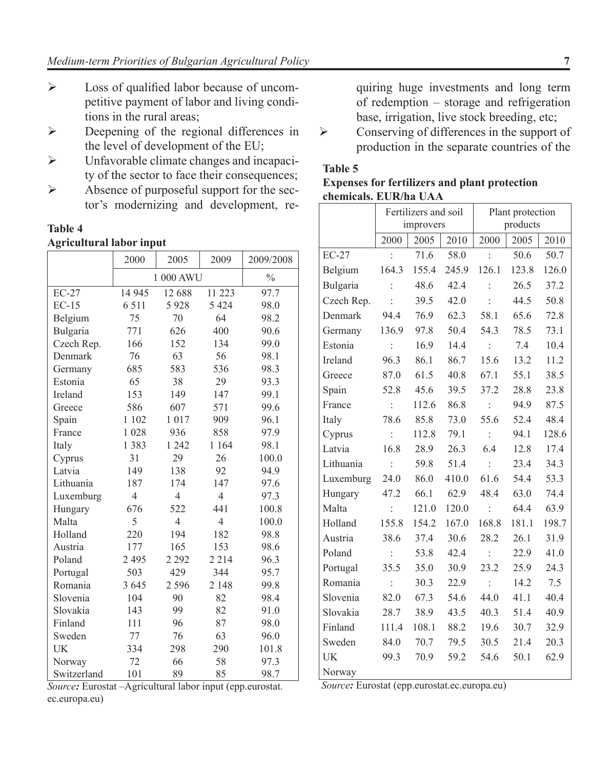- $\triangleright$  Loss of qualified labor because of uncompetitive payment of labor and living conditions in the rural areas;
- Deepening of the regional differences in the level of development of the EU;
- Unfavorable climate changes and incapacity of the sector to face their consequences;
- $\triangleright$  Absence of purposeful support for the sector's modernizing and development, re-

#### **Table 4 Agricultural labor input**

|             | 2000<br>2005<br>2009 |                | 2009/2008      |               |
|-------------|----------------------|----------------|----------------|---------------|
|             |                      | 1 000 AWU      |                | $\frac{0}{0}$ |
| $EC-27$     | 14 9 45              | 12 688         | 11 223         | 97.7          |
| $EC-15$     | 6 5 1 1              | 5928           | 5 4 2 4        | 98.0          |
| Belgium     | 75                   | 70             | 64             | 98.2          |
| Bulgaria    | 771                  | 626            | 400            | 90.6          |
| Czech Rep.  | 166                  | 152            | 134            | 99.0          |
| Denmark     | 76                   | 63             | 56             | 98.1          |
| Germany     | 685                  | 583            | 536            | 98.3          |
| Estonia     | 65                   | 38             | 29             | 93.3          |
| Ireland     | 153                  | 149            | 147            | 99.1          |
| Greece      | 586                  | 607            | 571            | 99.6          |
| Spain       | 1 102                | 1017           | 909            | 96.1          |
| France      | 1 0 2 8              | 936            | 858            | 97.9          |
| Italy       | 1 3 8 3              | 1 242          | 1 1 6 4        | 98.1          |
| Cyprus      | 31                   | 29             | 26             | 100.0         |
| Latvia      | 149                  | 138            | 92             | 94.9          |
| Lithuania   | 187                  | 174            | 147            | 97.6          |
| Luxemburg   | $\overline{4}$       | $\overline{4}$ | $\overline{4}$ | 97.3          |
| Hungary     | 676                  | 522            | 441            | 100.8         |
| Malta       | 5                    | $\overline{4}$ | $\overline{4}$ | 100.0         |
| Holland     | 220                  | 194            | 182            | 98.8          |
| Austria     | 177                  | 165            | 153            | 98.6          |
| Poland      | 2 4 9 5              | 2 2 9 2        | 2 2 1 4        | 96.3          |
| Portugal    | 503                  | 429            | 344            | 95.7          |
| Romania     | 3 6 4 5              | 2 5 9 6        | 2 1 4 8        | 99.8          |
| Slovenia    | 104                  | 90             | 82             | 98.4          |
| Slovakia    | 143                  | 99             | 82             | 91.0          |
| Finland     | 111                  | 96             | 87             | 98.0          |
| Sweden      | 77                   | 76             | 63             | 96.0          |
| UK          | 334                  | 298            | 290            | 101.8         |
| Norway      | 72                   | 66             | 58             | 97.3          |
| Switzerland | 101                  | 89             | 85             | 98.7          |

*Source:* Eurostat –Agricultural labor input (epp.eurostat. ec.europa.eu)

quiring huge investments and long term of redemption – storage and refrigeration base, irrigation, live stock breeding, etc;

 $\triangleright$  Conserving of differences in the support of production in the separate countries of the

#### **Table 5**

|                       |  |  | <b>Expenses for fertilizers and plant protection</b> |
|-----------------------|--|--|------------------------------------------------------|
| chemicals. EUR/ha UAA |  |  |                                                      |

|            | Fertilizers and soil<br>improvers |       |       | Plant protection<br>products |       |       |
|------------|-----------------------------------|-------|-------|------------------------------|-------|-------|
|            | 2000                              | 2005  | 2010  | 2000                         | 2005  | 2010  |
| $EC-27$    | $\ddot{\cdot}$                    | 71.6  | 58.0  | $\ddot{\cdot}$               | 50.6  | 50.7  |
| Belgium    | 164.3                             | 155.4 | 245.9 | 126.1                        | 123.8 | 126.0 |
|            |                                   |       |       |                              |       |       |
| Bulgaria   | $\vdots$                          | 48.6  | 42.4  | $\ddot{\cdot}$               | 26.5  | 37.2  |
| Czech Rep. |                                   | 39.5  | 42.0  |                              | 44.5  | 50.8  |
| Denmark    | 94.4                              | 76.9  | 62.3  | 58.1                         | 65.6  | 72.8  |
| Germany    | 136.9                             | 97.8  | 50.4  | 54.3                         | 78.5  | 73.1  |
| Estonia    | $\vdots$                          | 16.9  | 14.4  | $\vdots$                     | 7.4   | 10.4  |
| Ireland    | 96.3                              | 86.1  | 86.7  | 15.6                         | 13.2  | 11.2  |
| Greece     | 87.0                              | 61.5  | 40.8  | 67.1                         | 55.1  | 38.5  |
| Spain      | 52.8                              | 45.6  | 39.5  | 37.2                         | 28.8  | 23.8  |
| France     | $\mathcal{L}$                     | 112.6 | 86.8  | $\dot{\mathcal{L}}$          | 94.9  | 87.5  |
| Italy      | 78.6                              | 85.8  | 73.0  | 55.6                         | 52.4  | 48.4  |
| Cyprus     | $\ddot{\ddot{\phantom{}}}$        | 112.8 | 79.1  | $\langle \cdot \rangle$      | 94.1  | 128.6 |
| Latvia     | 16.8                              | 28.9  | 26.3  | 6.4                          | 12.8  | 17.4  |
| Lithuania  | ÷                                 | 59.8  | 51.4  | ÷                            | 23.4  | 34.3  |
| Luxemburg  | 24.0                              | 86.0  | 410.0 | 61.6                         | 54.4  | 53.3  |
| Hungary    | 47.2                              | 66.1  | 62.9  | 48.4                         | 63.0  | 74.4  |
| Malta      | $\ddot{\cdot}$                    | 121.0 | 120.0 | $\ddot{\phantom{a}}$         | 64.4  | 63.9  |
| Holland    | 155.8                             | 154.2 | 167.0 | 168.8                        | 181.1 | 198.7 |
| Austria    | 38.6                              | 37.4  | 30.6  | 28.2                         | 26.1  | 31.9  |
| Poland     | $\ddot{\cdot}$                    | 53.8  | 42.4  | $\ddot{\cdot}$               | 22.9  | 41.0  |
| Portugal   | 35.5                              | 35.0  | 30.9  | 23.2                         | 25.9  | 24.3  |
| Romania    | $\pm$                             | 30.3  | 22.9  | $\mathbb{R}^2$               | 14.2  | 7.5   |
| Slovenia   | 82.0                              | 67.3  | 54.6  | 44.0                         | 41.1  | 40.4  |
| Slovakia   | 28.7                              | 38.9  | 43.5  | 40.3                         | 51.4  | 40.9  |
| Finland    | 111.4                             | 108.1 | 88.2  | 19.6                         | 30.7  | 32.9  |
| Sweden     | 84.0                              | 70.7  | 79.5  | 30.5                         | 21.4  | 20.3  |
| UK         | 99.3                              | 70.9  | 59.2  | 54.6                         | 50.1  | 62.9  |
| Norway     |                                   |       |       |                              |       |       |

 *Source:* Eurostat (epp.eurostat.ec.europa.eu)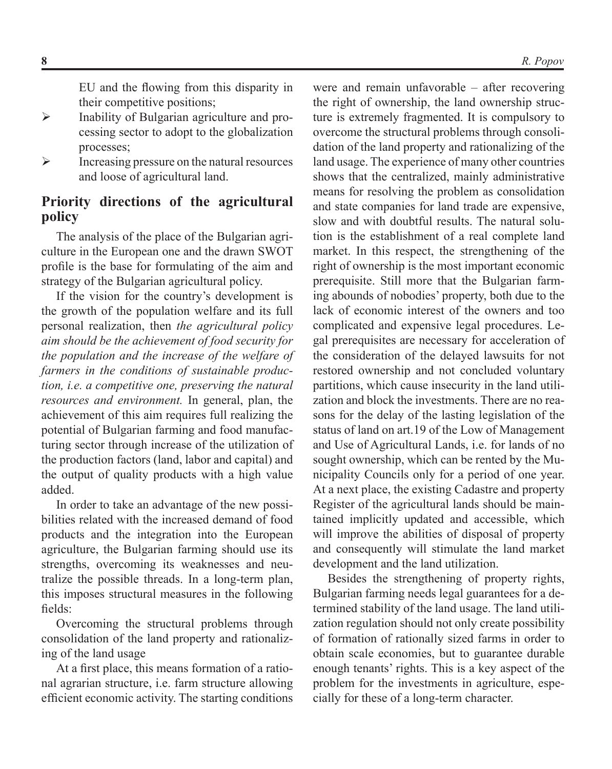EU and the flowing from this disparity in their competitive positions;

- $\triangleright$  Inability of Bulgarian agriculture and processing sector to adopt to the globalization processes;
- $\triangleright$  Increasing pressure on the natural resources and loose of agricultural land.

## **Priority directions of the agricultural policy**

The analysis of the place of the Bulgarian agriculture in the European one and the drawn SWOT profile is the base for formulating of the aim and strategy of the Bulgarian agricultural policy.

If the vision for the country's development is the growth of the population welfare and its full personal realization, then *the agricultural policy aim should be the achievement of food security for the population and the increase of the welfare of farmers in the conditions of sustainable production, i.e. a competitive one, preserving the natural resources and environment.* In general, plan, the achievement of this aim requires full realizing the potential of Bulgarian farming and food manufacturing sector through increase of the utilization of the production factors (land, labor and capital) and the output of quality products with a high value added.

In order to take an advantage of the new possibilities related with the increased demand of food products and the integration into the European agriculture, the Bulgarian farming should use its strengths, overcoming its weaknesses and neutralize the possible threads. In a long-term plan, this imposes structural measures in the following fields:

Overcoming the structural problems through consolidation of the land property and rationalizing of the land usage

At a first place, this means formation of a rational agrarian structure, i.e. farm structure allowing efficient economic activity. The starting conditions

were and remain unfavorable – after recovering the right of ownership, the land ownership structure is extremely fragmented. It is compulsory to overcome the structural problems through consolidation of the land property and rationalizing of the land usage. The experience of many other countries shows that the centralized, mainly administrative means for resolving the problem as consolidation and state companies for land trade are expensive, slow and with doubtful results. The natural solution is the establishment of a real complete land market. In this respect, the strengthening of the right of ownership is the most important economic prerequisite. Still more that the Bulgarian farming abounds of nobodies' property, both due to the lack of economic interest of the owners and too complicated and expensive legal procedures. Legal prerequisites are necessary for acceleration of the consideration of the delayed lawsuits for not restored ownership and not concluded voluntary partitions, which cause insecurity in the land utilization and block the investments. There are no reasons for the delay of the lasting legislation of the status of land on art.19 of the Low of Management and Use of Agricultural Lands, i.e. for lands of no sought ownership, which can be rented by the Municipality Councils only for a period of one year. At a next place, the existing Cadastre and property Register of the agricultural lands should be maintained implicitly updated and accessible, which will improve the abilities of disposal of property and consequently will stimulate the land market development and the land utilization.

Besides the strengthening of property rights, Bulgarian farming needs legal guarantees for a determined stability of the land usage. The land utilization regulation should not only create possibility of formation of rationally sized farms in order to obtain scale economies, but to guarantee durable enough tenants' rights. This is a key aspect of the problem for the investments in agriculture, especially for these of a long-term character.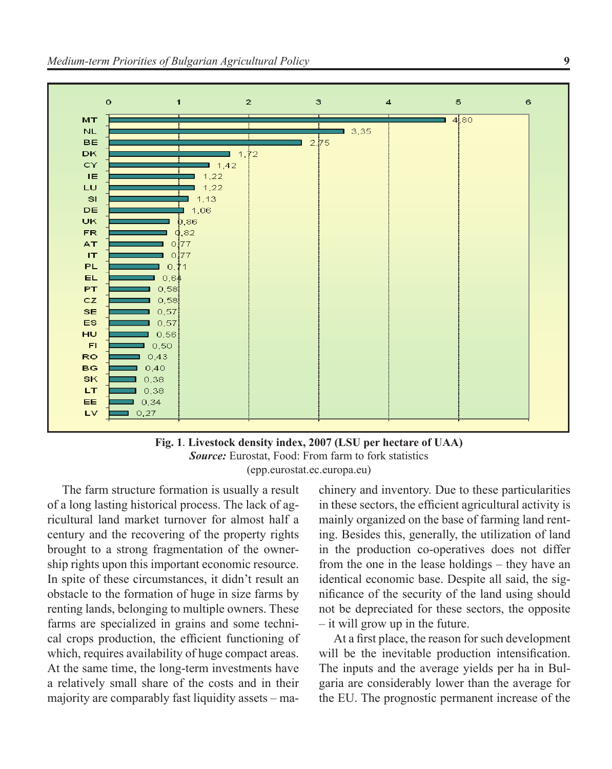

**Fig. 1**. **Livestock density index, 2007 (LSU per hectare of UAA)**  *Source:* Eurostat, Food: From farm to fork statistics (epp.eurostat.ec.europa.eu)

The farm structure formation is usually a result of a long lasting historical process. The lack of agricultural land market turnover for almost half a century and the recovering of the property rights brought to a strong fragmentation of the ownership rights upon this important economic resource. In spite of these circumstances, it didn't result an obstacle to the formation of huge in size farms by renting lands, belonging to multiple owners. These farms are specialized in grains and some technical crops production, the efficient functioning of which, requires availability of huge compact areas. At the same time, the long-term investments have a relatively small share of the costs and in their majority are comparably fast liquidity assets – ma-

chinery and inventory. Due to these particularities in these sectors, the efficient agricultural activity is mainly organized on the base of farming land renting. Besides this, generally, the utilization of land in the production co-operatives does not differ from the one in the lease holdings – they have an identical economic base. Despite all said, the significance of the security of the land using should not be depreciated for these sectors, the opposite – it will grow up in the future.

At a first place, the reason for such development will be the inevitable production intensification. The inputs and the average yields per ha in Bulgaria are considerably lower than the average for the EU. The prognostic permanent increase of the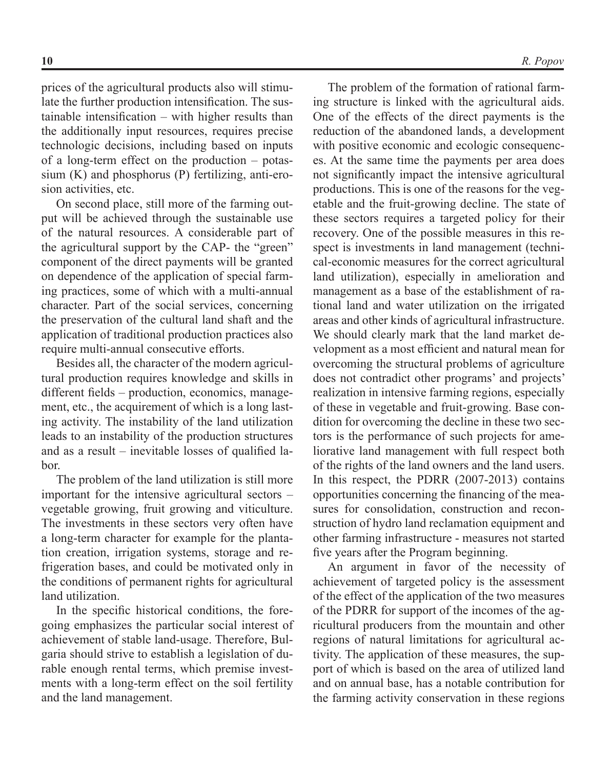prices of the agricultural products also will stimulate the further production intensification. The sustainable intensification – with higher results than the additionally input resources, requires precise technologic decisions, including based on inputs of a long-term effect on the production – potassium (K) and phosphorus (P) fertilizing, anti-erosion activities, etc.

On second place, still more of the farming output will be achieved through the sustainable use of the natural resources. A considerable part of the agricultural support by the CAP- the "green" component of the direct payments will be granted on dependence of the application of special farming practices, some of which with a multi-annual character. Part of the social services, concerning the preservation of the cultural land shaft and the application of traditional production practices also require multi-annual consecutive efforts.

Besides all, the character of the modern agricultural production requires knowledge and skills in different fields – production, economics, management, etc., the acquirement of which is a long lasting activity. The instability of the land utilization leads to an instability of the production structures and as a result – inevitable losses of qualified labor.

The problem of the land utilization is still more important for the intensive agricultural sectors – vegetable growing, fruit growing and viticulture. The investments in these sectors very often have a long-term character for example for the plantation creation, irrigation systems, storage and refrigeration bases, and could be motivated only in the conditions of permanent rights for agricultural land utilization.

In the specific historical conditions, the foregoing emphasizes the particular social interest of achievement of stable land-usage. Therefore, Bulgaria should strive to establish a legislation of durable enough rental terms, which premise investments with a long-term effect on the soil fertility and the land management.

The problem of the formation of rational farming structure is linked with the agricultural aids. One of the effects of the direct payments is the reduction of the abandoned lands, a development with positive economic and ecologic consequences. At the same time the payments per area does not significantly impact the intensive agricultural productions. This is one of the reasons for the vegetable and the fruit-growing decline. The state of these sectors requires a targeted policy for their recovery. One of the possible measures in this respect is investments in land management (technical-economic measures for the correct agricultural land utilization), especially in amelioration and management as a base of the establishment of rational land and water utilization on the irrigated areas and other kinds of agricultural infrastructure. We should clearly mark that the land market development as a most efficient and natural mean for overcoming the structural problems of agriculture does not contradict other programs' and projects' realization in intensive farming regions, especially of these in vegetable and fruit-growing. Base condition for overcoming the decline in these two sectors is the performance of such projects for ameliorative land management with full respect both of the rights of the land owners and the land users. In this respect, the PDRR (2007-2013) contains opportunities concerning the financing of the measures for consolidation, construction and reconstruction of hydro land reclamation equipment and other farming infrastructure - measures not started five years after the Program beginning.

An argument in favor of the necessity of achievement of targeted policy is the assessment of the effect of the application of the two measures of the PDRR for support of the incomes of the agricultural producers from the mountain and other regions of natural limitations for agricultural activity. The application of these measures, the support of which is based on the area of utilized land and on annual base, has a notable contribution for the farming activity conservation in these regions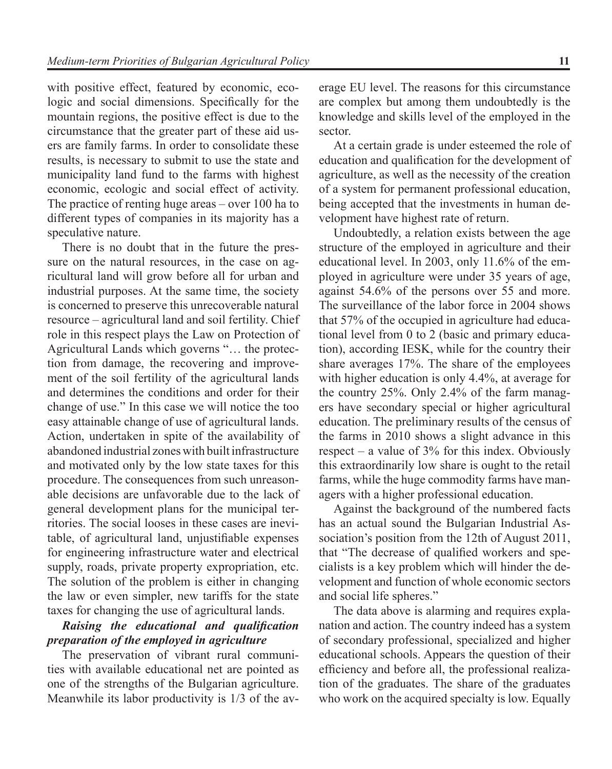with positive effect, featured by economic, ecologic and social dimensions. Specifically for the mountain regions, the positive effect is due to the circumstance that the greater part of these aid users are family farms. In order to consolidate these results, is necessary to submit to use the state and municipality land fund to the farms with highest economic, ecologic and social effect of activity. The practice of renting huge areas – over 100 ha to different types of companies in its majority has a speculative nature.

There is no doubt that in the future the pressure on the natural resources, in the case on agricultural land will grow before all for urban and industrial purposes. At the same time, the society is concerned to preserve this unrecoverable natural resource – agricultural land and soil fertility. Chief role in this respect plays the Law on Protection of Agricultural Lands which governs "… the protection from damage, the recovering and improvement of the soil fertility of the agricultural lands and determines the conditions and order for their change of use." In this case we will notice the too easy attainable change of use of agricultural lands. Action, undertaken in spite of the availability of abandoned industrial zones with built infrastructure and motivated only by the low state taxes for this procedure. The consequences from such unreasonable decisions are unfavorable due to the lack of general development plans for the municipal territories. The social looses in these cases are inevitable, of agricultural land, unjustifiable expenses for engineering infrastructure water and electrical supply, roads, private property expropriation, etc. The solution of the problem is either in changing the law or even simpler, new tariffs for the state taxes for changing the use of agricultural lands.

#### *Raising the educational and qualification preparation of the employed in agriculture*

The preservation of vibrant rural communities with available educational net are pointed as one of the strengths of the Bulgarian agriculture. Meanwhile its labor productivity is 1/3 of the average EU level. The reasons for this circumstance are complex but among them undoubtedly is the knowledge and skills level of the employed in the sector.

At a certain grade is under esteemed the role of education and qualification for the development of agriculture, as well as the necessity of the creation of a system for permanent professional education, being accepted that the investments in human development have highest rate of return.

Undoubtedly, a relation exists between the age structure of the employed in agriculture and their educational level. In 2003, only 11.6% of the employed in agriculture were under 35 years of age, against 54.6% of the persons over 55 and more. The surveillance of the labor force in 2004 shows that 57% of the occupied in agriculture had educational level from 0 to 2 (basic and primary education), according IESK, while for the country their share averages 17%. The share of the employees with higher education is only 4.4%, at average for the country 25%. Only 2.4% of the farm managers have secondary special or higher agricultural education. The preliminary results of the census of the farms in 2010 shows a slight advance in this respect – a value of 3% for this index. Obviously this extraordinarily low share is ought to the retail farms, while the huge commodity farms have managers with a higher professional education.

Against the background of the numbered facts has an actual sound the Bulgarian Industrial Association's position from the 12th of August 2011, that "The decrease of qualified workers and specialists is a key problem which will hinder the development and function of whole economic sectors and social life spheres."

The data above is alarming and requires explanation and action. The country indeed has a system of secondary professional, specialized and higher educational schools. Appears the question of their efficiency and before all, the professional realization of the graduates. The share of the graduates who work on the acquired specialty is low. Equally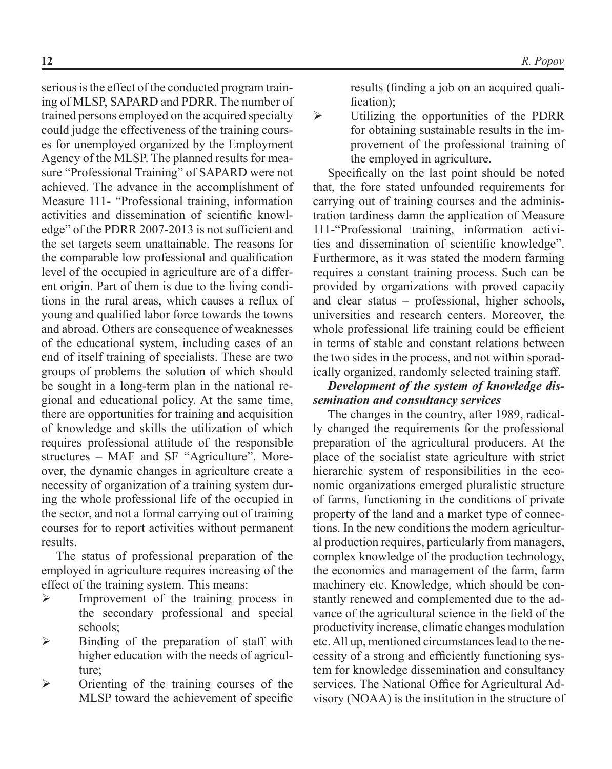serious is the effect of the conducted program training of MLSP, SAPARD and PDRR. The number of trained persons employed on the acquired specialty could judge the effectiveness of the training courses for unemployed organized by the Employment Agency of the MLSP. The planned results for measure "Professional Training" of SAPARD were not achieved. The advance in the accomplishment of Measure 111- "Professional training, information activities and dissemination of scientific knowledge" of the PDRR 2007-2013 is not sufficient and the set targets seem unattainable. The reasons for the comparable low professional and qualification level of the occupied in agriculture are of a different origin. Part of them is due to the living conditions in the rural areas, which causes a reflux of young and qualified labor force towards the towns and abroad. Others are consequence of weaknesses of the educational system, including cases of an end of itself training of specialists. These are two groups of problems the solution of which should be sought in a long-term plan in the national regional and educational policy. At the same time, there are opportunities for training and acquisition of knowledge and skills the utilization of which requires professional attitude of the responsible structures – MAF and SF "Agriculture". Moreover, the dynamic changes in agriculture create a necessity of organization of a training system during the whole professional life of the occupied in the sector, and not a formal carrying out of training courses for to report activities without permanent results.

The status of professional preparation of the employed in agriculture requires increasing of the effect of the training system. This means:

- $\triangleright$  Improvement of the training process in the secondary professional and special schools;
- $\triangleright$  Binding of the preparation of staff with higher education with the needs of agriculture;
- $\triangleright$  Orienting of the training courses of the MLSP toward the achievement of specific

results (finding a job on an acquired qualification);

 $\triangleright$  Utilizing the opportunities of the PDRR for obtaining sustainable results in the improvement of the professional training of the employed in agriculture.

Specifically on the last point should be noted that, the fore stated unfounded requirements for carrying out of training courses and the administration tardiness damn the application of Measure 111-"Professional training, information activities and dissemination of scientific knowledge". Furthermore, as it was stated the modern farming requires a constant training process. Such can be provided by organizations with proved capacity and clear status – professional, higher schools, universities and research centers. Moreover, the whole professional life training could be efficient in terms of stable and constant relations between the two sides in the process, and not within sporadically organized, randomly selected training staff.

#### *Development of the system of knowledge dissemination and consultancy services*

The changes in the country, after 1989, radically changed the requirements for the professional preparation of the agricultural producers. At the place of the socialist state agriculture with strict hierarchic system of responsibilities in the economic organizations emerged pluralistic structure of farms, functioning in the conditions of private property of the land and a market type of connections. In the new conditions the modern agricultural production requires, particularly from managers, complex knowledge of the production technology, the economics and management of the farm, farm machinery etc. Knowledge, which should be constantly renewed and complemented due to the advance of the agricultural science in the field of the productivity increase, climatic changes modulation etc. All up, mentioned circumstances lead to the necessity of a strong and efficiently functioning system for knowledge dissemination and consultancy services. The National Office for Agricultural Advisory (NOAA) is the institution in the structure of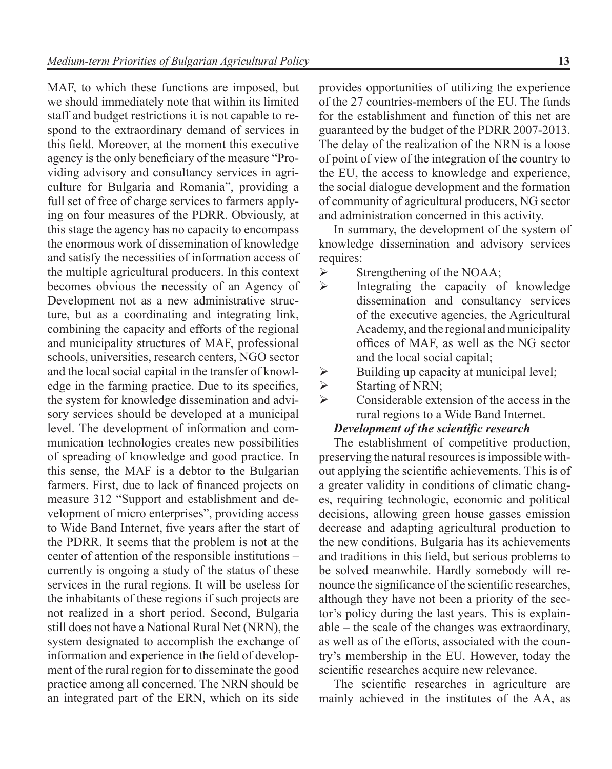MAF, to which these functions are imposed, but we should immediately note that within its limited staff and budget restrictions it is not capable to respond to the extraordinary demand of services in this field. Moreover, at the moment this executive agency is the only beneficiary of the measure "Providing advisory and consultancy services in agriculture for Bulgaria and Romania", providing a full set of free of charge services to farmers applying on four measures of the PDRR. Obviously, at this stage the agency has no capacity to encompass the enormous work of dissemination of knowledge and satisfy the necessities of information access of the multiple agricultural producers. In this context becomes obvious the necessity of an Agency of Development not as a new administrative structure, but as a coordinating and integrating link, combining the capacity and efforts of the regional and municipality structures of MAF, professional schools, universities, research centers, NGO sector and the local social capital in the transfer of knowledge in the farming practice. Due to its specifics, the system for knowledge dissemination and advisory services should be developed at a municipal level. The development of information and communication technologies creates new possibilities of spreading of knowledge and good practice. In this sense, the MAF is a debtor to the Bulgarian farmers. First, due to lack of financed projects on measure 312 "Support and establishment and development of micro enterprises", providing access to Wide Band Internet, five years after the start of the PDRR. It seems that the problem is not at the center of attention of the responsible institutions – currently is ongoing a study of the status of these services in the rural regions. It will be useless for the inhabitants of these regions if such projects are not realized in a short period. Second, Bulgaria still does not have a National Rural Net (NRN), the system designated to accomplish the exchange of information and experience in the field of development of the rural region for to disseminate the good practice among all concerned. The NRN should be an integrated part of the ERN, which on its side

provides opportunities of utilizing the experience of the 27 countries-members of the EU. The funds for the establishment and function of this net are guaranteed by the budget of the PDRR 2007-2013. The delay of the realization of the NRN is a loose of point of view of the integration of the country to the EU, the access to knowledge and experience, the social dialogue development and the formation of community of agricultural producers, NG sector and administration concerned in this activity.

In summary, the development of the system of knowledge dissemination and advisory services requires:

- $\triangleright$  Strengthening of the NOAA;
- $\triangleright$  Integrating the capacity of knowledge dissemination and consultancy services of the executive agencies, the Agricultural Academy, and the regional and municipality offices of MAF, as well as the NG sector and the local social capital;
- $\triangleright$  Building up capacity at municipal level;
- $\triangleright$  Starting of NRN;
- Considerable extension of the access in the rural regions to a Wide Band Internet.

#### *Development of the scientific research*

The establishment of competitive production, preserving the natural resources is impossible without applying the scientific achievements. This is of a greater validity in conditions of climatic changes, requiring technologic, economic and political decisions, allowing green house gasses emission decrease and adapting agricultural production to the new conditions. Bulgaria has its achievements and traditions in this field, but serious problems to be solved meanwhile. Hardly somebody will renounce the significance of the scientific researches, although they have not been a priority of the sector's policy during the last years. This is explainable – the scale of the changes was extraordinary, as well as of the efforts, associated with the country's membership in the EU. However, today the scientific researches acquire new relevance.

The scientific researches in agriculture are mainly achieved in the institutes of the AA, as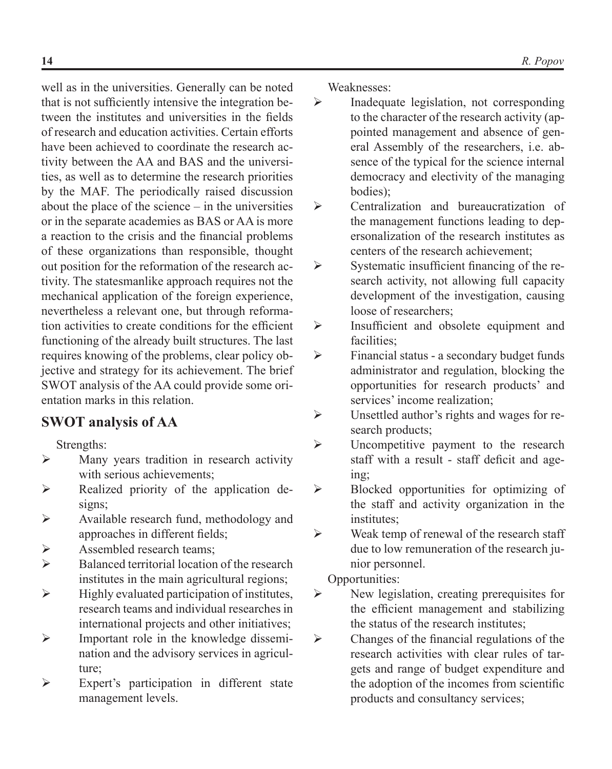well as in the universities. Generally can be noted that is not sufficiently intensive the integration between the institutes and universities in the fields of research and education activities. Certain efforts have been achieved to coordinate the research activity between the AA and BAS and the universities, as well as to determine the research priorities by the MAF. The periodically raised discussion about the place of the science – in the universities or in the separate academies as BAS or AA is more a reaction to the crisis and the financial problems of these organizations than responsible, thought out position for the reformation of the research activity. The statesmanlike approach requires not the mechanical application of the foreign experience, nevertheless a relevant one, but through reformation activities to create conditions for the efficient functioning of the already built structures. The last requires knowing of the problems, clear policy objective and strategy for its achievement. The brief SWOT analysis of the AA could provide some orientation marks in this relation.

# **SWOT analysis of AA**

Strengths:

- $\triangleright$  Many years tradition in research activity with serious achievements;
- $\triangleright$  Realized priority of the application designs;
- $\triangleright$  Available research fund, methodology and approaches in different fields;
- $\triangleright$  Assembled research teams:
- $\triangleright$  Balanced territorial location of the research institutes in the main agricultural regions;
- $\triangleright$  Highly evaluated participation of institutes, research teams and individual researches in international projects and other initiatives;
- $\triangleright$  Important role in the knowledge dissemination and the advisory services in agriculture;
- $\triangleright$  Expert's participation in different state management levels.

Weaknesses:

- $\triangleright$  Inadequate legislation, not corresponding to the character of the research activity (appointed management and absence of general Assembly of the researchers, i.e. absence of the typical for the science internal democracy and electivity of the managing bodies);
- Centralization and bureaucratization of the management functions leading to depersonalization of the research institutes as centers of the research achievement;
- $\triangleright$  Systematic insufficient financing of the research activity, not allowing full capacity development of the investigation, causing loose of researchers;
- $\triangleright$  Insufficient and obsolete equipment and facilities;
- $\triangleright$  Financial status a secondary budget funds administrator and regulation, blocking the opportunities for research products' and services' income realization;
- $\triangleright$  Unsettled author's rights and wages for research products;
- $\triangleright$  Uncompetitive payment to the research staff with a result - staff deficit and ageing;
- $\triangleright$  Blocked opportunities for optimizing of the staff and activity organization in the institutes;
- $\triangleright$  Weak temp of renewal of the research staff due to low remuneration of the research junior personnel.
	- Opportunities:
- $\triangleright$  New legislation, creating prerequisites for the efficient management and stabilizing the status of the research institutes;
- $\triangleright$  Changes of the financial regulations of the research activities with clear rules of targets and range of budget expenditure and the adoption of the incomes from scientific products and consultancy services;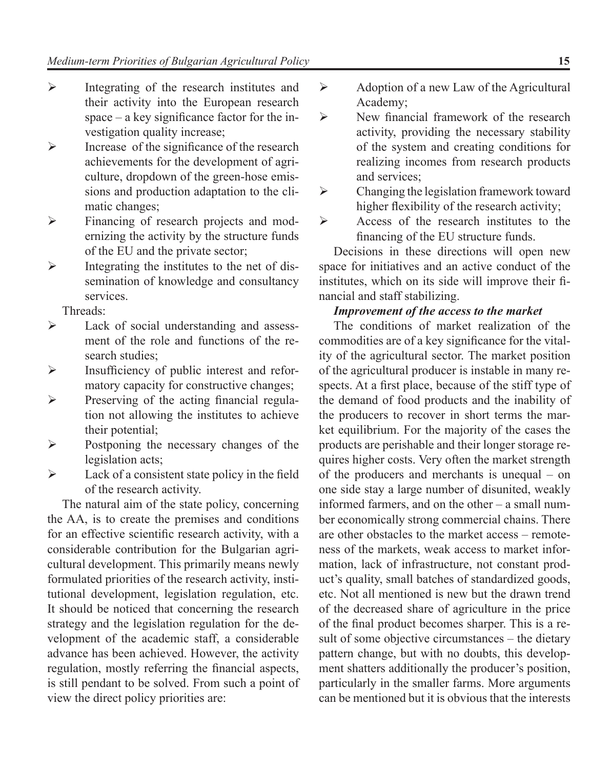- $\triangleright$  Integrating of the research institutes and their activity into the European research space – a key significance factor for the investigation quality increase;
- $\triangleright$  Increase of the significance of the research achievements for the development of agriculture, dropdown of the green-hose emissions and production adaptation to the climatic changes;
- Financing of research projects and modernizing the activity by the structure funds of the EU and the private sector;
- $\triangleright$  Integrating the institutes to the net of dissemination of knowledge and consultancy services.

Threads:

- $\triangleright$  Lack of social understanding and assessment of the role and functions of the research studies;
- Insufficiency of public interest and reformatory capacity for constructive changes;
- $\triangleright$  Preserving of the acting financial regulation not allowing the institutes to achieve their potential;
- $\triangleright$  Postponing the necessary changes of the legislation acts;
- $\triangleright$  Lack of a consistent state policy in the field of the research activity.

The natural aim of the state policy, concerning the AA, is to create the premises and conditions for an effective scientific research activity, with a considerable contribution for the Bulgarian agricultural development. This primarily means newly formulated priorities of the research activity, institutional development, legislation regulation, etc. It should be noticed that concerning the research strategy and the legislation regulation for the development of the academic staff, a considerable advance has been achieved. However, the activity regulation, mostly referring the financial aspects, is still pendant to be solved. From such a point of view the direct policy priorities are:

- $\triangleright$  Adoption of a new Law of the Agricultural Academy;
- New financial framework of the research activity, providing the necessary stability of the system and creating conditions for realizing incomes from research products and services;
- $\triangleright$  Changing the legislation framework toward higher flexibility of the research activity;
- $\triangleright$  Access of the research institutes to the financing of the EU structure funds.

Decisions in these directions will open new space for initiatives and an active conduct of the institutes, which on its side will improve their financial and staff stabilizing.

#### *Improvement of the access to the market*

The conditions of market realization of the commodities are of a key significance for the vitality of the agricultural sector. The market position of the agricultural producer is instable in many respects. At a first place, because of the stiff type of the demand of food products and the inability of the producers to recover in short terms the market equilibrium. For the majority of the cases the products are perishable and their longer storage requires higher costs. Very often the market strength of the producers and merchants is unequal – on one side stay a large number of disunited, weakly informed farmers, and on the other – a small number economically strong commercial chains. There are other obstacles to the market access – remoteness of the markets, weak access to market information, lack of infrastructure, not constant product's quality, small batches of standardized goods, etc. Not all mentioned is new but the drawn trend of the decreased share of agriculture in the price of the final product becomes sharper. This is a result of some objective circumstances – the dietary pattern change, but with no doubts, this development shatters additionally the producer's position, particularly in the smaller farms. More arguments can be mentioned but it is obvious that the interests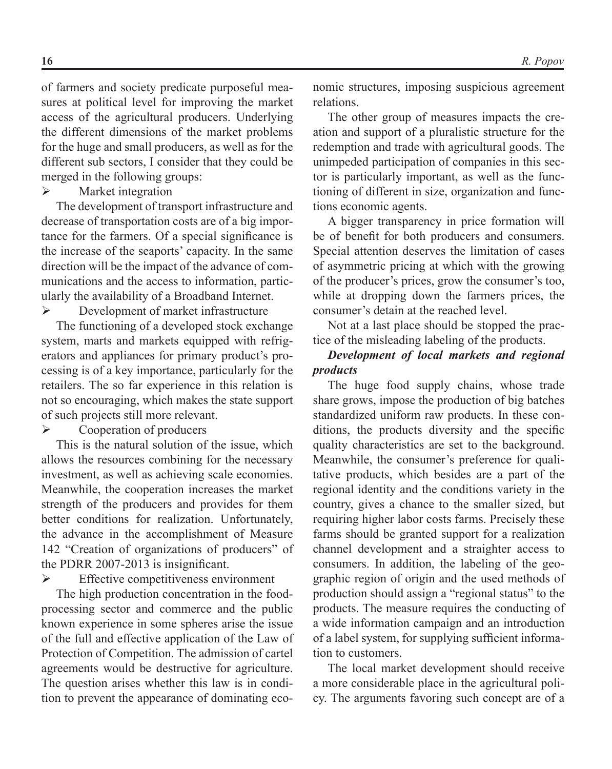of farmers and society predicate purposeful measures at political level for improving the market access of the agricultural producers. Underlying the different dimensions of the market problems for the huge and small producers, as well as for the different sub sectors, I consider that they could be merged in the following groups:

 $\triangleright$  Market integration

The development of transport infrastructure and decrease of transportation costs are of a big importance for the farmers. Of a special significance is the increase of the seaports' capacity. In the same direction will be the impact of the advance of communications and the access to information, particularly the availability of a Broadband Internet.

 $\triangleright$  Development of market infrastructure

The functioning of a developed stock exchange system, marts and markets equipped with refrigerators and appliances for primary product's processing is of a key importance, particularly for the retailers. The so far experience in this relation is not so encouraging, which makes the state support of such projects still more relevant.

 $\triangleright$  Cooperation of producers

This is the natural solution of the issue, which allows the resources combining for the necessary investment, as well as achieving scale economies. Meanwhile, the cooperation increases the market strength of the producers and provides for them better conditions for realization. Unfortunately, the advance in the accomplishment of Measure 142 "Creation of organizations of producers" of the PDRR 2007-2013 is insignificant.

 $\triangleright$  Effective competitiveness environment

The high production concentration in the foodprocessing sector and commerce and the public known experience in some spheres arise the issue of the full and effective application of the Law of Protection of Competition. The admission of cartel agreements would be destructive for agriculture. The question arises whether this law is in condition to prevent the appearance of dominating economic structures, imposing suspicious agreement relations.

The other group of measures impacts the creation and support of a pluralistic structure for the redemption and trade with agricultural goods. The unimpeded participation of companies in this sector is particularly important, as well as the functioning of different in size, organization and functions economic agents.

A bigger transparency in price formation will be of benefit for both producers and consumers. Special attention deserves the limitation of cases of asymmetric pricing at which with the growing of the producer's prices, grow the consumer's too, while at dropping down the farmers prices, the consumer's detain at the reached level.

Not at a last place should be stopped the practice of the misleading labeling of the products.

#### *Development of local markets and regional products*

The huge food supply chains, whose trade share grows, impose the production of big batches standardized uniform raw products. In these conditions, the products diversity and the specific quality characteristics are set to the background. Meanwhile, the consumer's preference for qualitative products, which besides are a part of the regional identity and the conditions variety in the country, gives a chance to the smaller sized, but requiring higher labor costs farms. Precisely these farms should be granted support for a realization channel development and a straighter access to consumers. In addition, the labeling of the geographic region of origin and the used methods of production should assign a "regional status" to the products. The measure requires the conducting of a wide information campaign and an introduction of a label system, for supplying sufficient information to customers.

The local market development should receive a more considerable place in the agricultural policy. The arguments favoring such concept are of a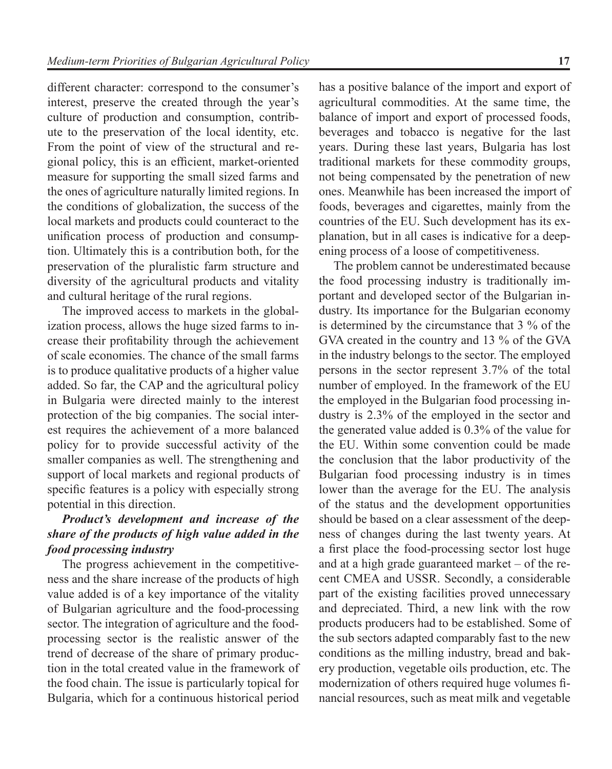different character: correspond to the consumer's interest, preserve the created through the year's culture of production and consumption, contribute to the preservation of the local identity, etc. From the point of view of the structural and regional policy, this is an efficient, market-oriented measure for supporting the small sized farms and the ones of agriculture naturally limited regions. In the conditions of globalization, the success of the local markets and products could counteract to the unification process of production and consumption. Ultimately this is a contribution both, for the preservation of the pluralistic farm structure and diversity of the agricultural products and vitality and cultural heritage of the rural regions.

The improved access to markets in the globalization process, allows the huge sized farms to increase their profitability through the achievement of scale economies. The chance of the small farms is to produce qualitative products of a higher value added. So far, the CAP and the agricultural policy in Bulgaria were directed mainly to the interest protection of the big companies. The social interest requires the achievement of a more balanced policy for to provide successful activity of the smaller companies as well. The strengthening and support of local markets and regional products of specific features is a policy with especially strong potential in this direction.

### *Product's development and increase of the share of the products of high value added in the food processing industry*

The progress achievement in the competitiveness and the share increase of the products of high value added is of a key importance of the vitality of Bulgarian agriculture and the food-processing sector. The integration of agriculture and the foodprocessing sector is the realistic answer of the trend of decrease of the share of primary production in the total created value in the framework of the food chain. The issue is particularly topical for Bulgaria, which for a continuous historical period

has a positive balance of the import and export of agricultural commodities. At the same time, the balance of import and export of processed foods, beverages and tobacco is negative for the last years. During these last years, Bulgaria has lost traditional markets for these commodity groups, not being compensated by the penetration of new ones. Meanwhile has been increased the import of foods, beverages and cigarettes, mainly from the countries of the EU. Such development has its explanation, but in all cases is indicative for a deepening process of a loose of competitiveness.

The problem cannot be underestimated because the food processing industry is traditionally important and developed sector of the Bulgarian industry. Its importance for the Bulgarian economy is determined by the circumstance that 3 % of the GVA created in the country and 13 % of the GVA in the industry belongs to the sector. The employed persons in the sector represent 3.7% of the total number of employed. In the framework of the EU the employed in the Bulgarian food processing industry is 2.3% of the employed in the sector and the generated value added is 0.3% of the value for the EU. Within some convention could be made the conclusion that the labor productivity of the Bulgarian food processing industry is in times lower than the average for the EU. The analysis of the status and the development opportunities should be based on a clear assessment of the deepness of changes during the last twenty years. At a first place the food-processing sector lost huge and at a high grade guaranteed market – of the recent CMEA and USSR. Secondly, a considerable part of the existing facilities proved unnecessary and depreciated. Third, a new link with the row products producers had to be established. Some of the sub sectors adapted comparably fast to the new conditions as the milling industry, bread and bakery production, vegetable oils production, etc. The modernization of others required huge volumes financial resources, such as meat milk and vegetable